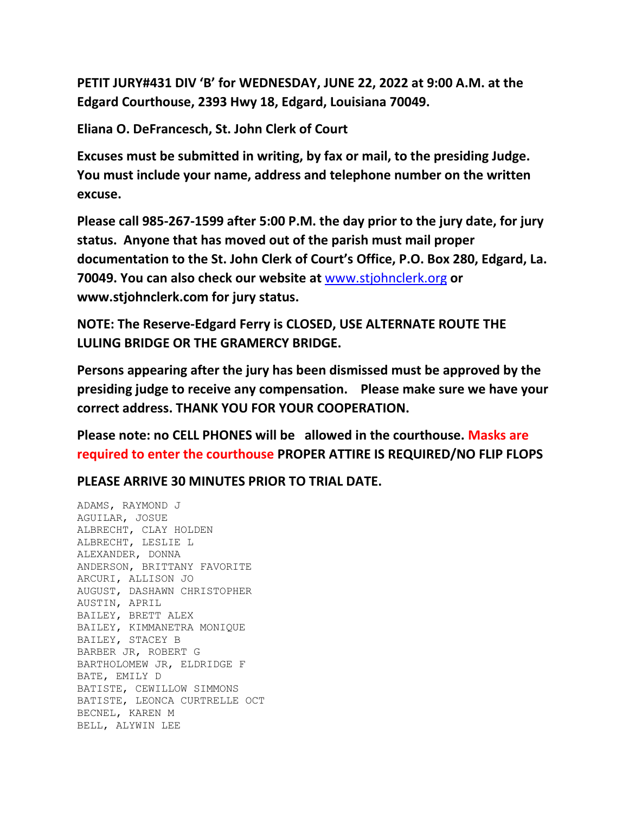**PETIT JURY#431 DIV 'B' for WEDNESDAY, JUNE 22, 2022 at 9:00 A.M. at the Edgard Courthouse, 2393 Hwy 18, Edgard, Louisiana 70049.**

**Eliana O. DeFrancesch, St. John Clerk of Court**

**Excuses must be submitted in writing, by fax or mail, to the presiding Judge. You must include your name, address and telephone number on the written excuse.**

**Please call 985-267-1599 after 5:00 P.M. the day prior to the jury date, for jury status. Anyone that has moved out of the parish must mail proper documentation to the St. John Clerk of Court's Office, P.O. Box 280, Edgard, La. 70049. You can also check our website at** [www.stjohnclerk.org](http://www.stjohnclerk.org/) **or www.stjohnclerk.com for jury status.**

**NOTE: The Reserve-Edgard Ferry is CLOSED, USE ALTERNATE ROUTE THE LULING BRIDGE OR THE GRAMERCY BRIDGE.**

**Persons appearing after the jury has been dismissed must be approved by the presiding judge to receive any compensation. Please make sure we have your correct address. THANK YOU FOR YOUR COOPERATION.**

**Please note: no CELL PHONES will be allowed in the courthouse. Masks are required to enter the courthouse PROPER ATTIRE IS REQUIRED/NO FLIP FLOPS**

**PLEASE ARRIVE 30 MINUTES PRIOR TO TRIAL DATE.**

ADAMS, RAYMOND J AGUILAR, JOSUE ALBRECHT, CLAY HOLDEN ALBRECHT, LESLIE L ALEXANDER, DONNA ANDERSON, BRITTANY FAVORITE ARCURI, ALLISON JO AUGUST, DASHAWN CHRISTOPHER AUSTIN, APRIL BAILEY, BRETT ALEX BAILEY, KIMMANETRA MONIQUE BAILEY, STACEY B BARBER JR, ROBERT G BARTHOLOMEW JR, ELDRIDGE F BATE, EMILY D BATISTE, CEWILLOW SIMMONS BATISTE, LEONCA CURTRELLE OCT BECNEL, KAREN M BELL, ALYWIN LEE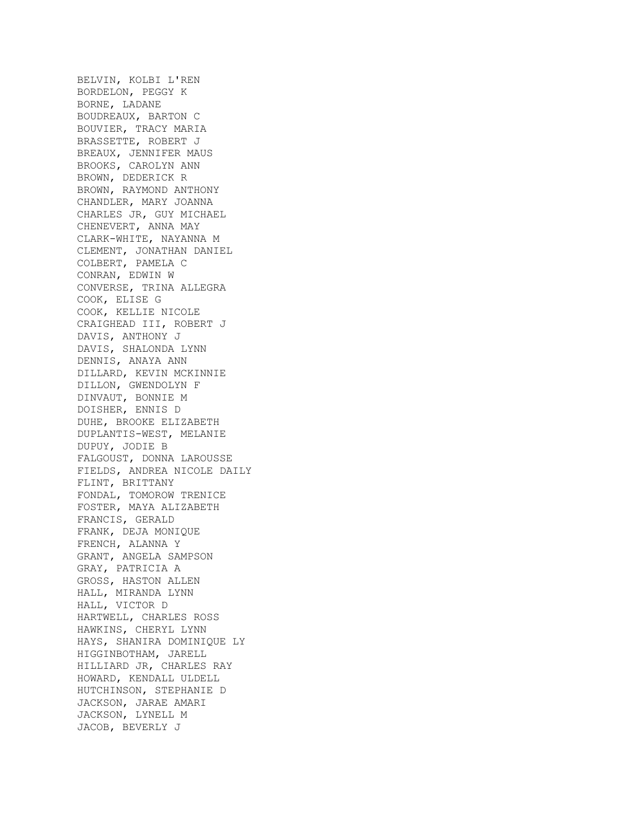BELVIN, KOLBI L'REN BORDELON, PEGGY K BORNE, LADANE BOUDREAUX, BARTON C BOUVIER, TRACY MARIA BRASSETTE, ROBERT J BREAUX, JENNIFER MAUS BROOKS, CAROLYN ANN BROWN, DEDERICK R BROWN, RAYMOND ANTHONY CHANDLER, MARY JOANNA CHARLES JR, GUY MICHAEL CHENEVERT, ANNA MAY CLARK-WHITE, NAYANNA M CLEMENT, JONATHAN DANIEL COLBERT, PAMELA C CONRAN, EDWIN W CONVERSE, TRINA ALLEGRA COOK, ELISE G COOK, KELLIE NICOLE CRAIGHEAD III, ROBERT J DAVIS, ANTHONY J DAVIS, SHALONDA LYNN DENNIS, ANAYA ANN DILLARD, KEVIN MCKINNIE DILLON, GWENDOLYN F DINVAUT, BONNIE M DOISHER, ENNIS D DUHE, BROOKE ELIZABETH DUPLANTIS-WEST, MELANIE DUPUY, JODIE B FALGOUST, DONNA LAROUSSE FIELDS, ANDREA NICOLE DAILY FLINT, BRITTANY FONDAL, TOMOROW TRENICE FOSTER, MAYA ALIZABETH FRANCIS, GERALD FRANK, DEJA MONIQUE FRENCH, ALANNA Y GRANT, ANGELA SAMPSON GRAY, PATRICIA A GROSS, HASTON ALLEN HALL, MIRANDA LYNN HALL, VICTOR D HARTWELL, CHARLES ROSS HAWKINS, CHERYL LYNN HAYS, SHANIRA DOMINIQUE LY HIGGINBOTHAM, JARELL HILLIARD JR, CHARLES RAY HOWARD, KENDALL ULDELL HUTCHINSON, STEPHANIE D JACKSON, JARAE AMARI JACKSON, LYNELL M JACOB, BEVERLY J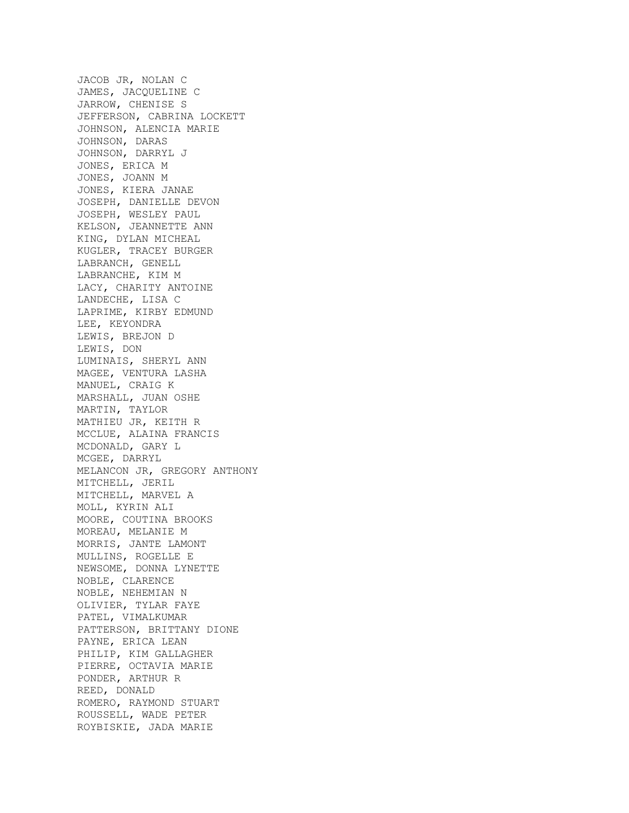JACOB JR, NOLAN C JAMES, JACQUELINE C JARROW, CHENISE S JEFFERSON, CABRINA LOCKETT JOHNSON, ALENCIA MARIE JOHNSON, DARAS JOHNSON, DARRYL J JONES, ERICA M JONES, JOANN M JONES, KIERA JANAE JOSEPH, DANIELLE DEVON JOSEPH, WESLEY PAUL KELSON, JEANNETTE ANN KING, DYLAN MICHEAL KUGLER, TRACEY BURGER LABRANCH, GENELL LABRANCHE, KIM M LACY, CHARITY ANTOINE LANDECHE, LISA C LAPRIME, KIRBY EDMUND LEE, KEYONDRA LEWIS, BREJON D LEWIS, DON LUMINAIS, SHERYL ANN MAGEE, VENTURA LASHA MANUEL, CRAIG K MARSHALL, JUAN OSHE MARTIN, TAYLOR MATHIEU JR, KEITH R MCCLUE, ALAINA FRANCIS MCDONALD, GARY L MCGEE, DARRYL MELANCON JR, GREGORY ANTHONY MITCHELL, JERIL MITCHELL, MARVEL A MOLL, KYRIN ALI MOORE, COUTINA BROOKS MOREAU, MELANIE M MORRIS, JANTE LAMONT MULLINS, ROGELLE E NEWSOME, DONNA LYNETTE NOBLE, CLARENCE NOBLE, NEHEMIAN N OLIVIER, TYLAR FAYE PATEL, VIMALKUMAR PATTERSON, BRITTANY DIONE PAYNE, ERICA LEAN PHILIP, KIM GALLAGHER PIERRE, OCTAVIA MARIE PONDER, ARTHUR R REED, DONALD ROMERO, RAYMOND STUART ROUSSELL, WADE PETER ROYBISKIE, JADA MARIE